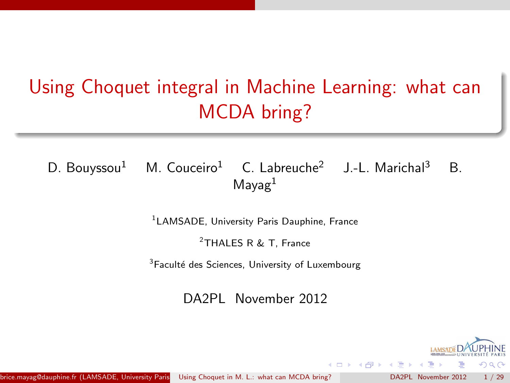# Using Choquet integral in Machine Learning: what can MCDA bring?

# D. Bouyssou<sup>1</sup> M. Couceiro<sup>1</sup> C. Labreuche<sup>2</sup> J.-L. Marichal<sup>3</sup> B.  $M$ ayag $<sup>1</sup>$ </sup>

1 LAMSADE, University Paris Dauphine, France

<sup>2</sup>THALES R & T, France

<sup>3</sup>Faculté des Sciences, University of Luxembourg

DA2PL November 2012

<span id="page-0-0"></span>A + + = +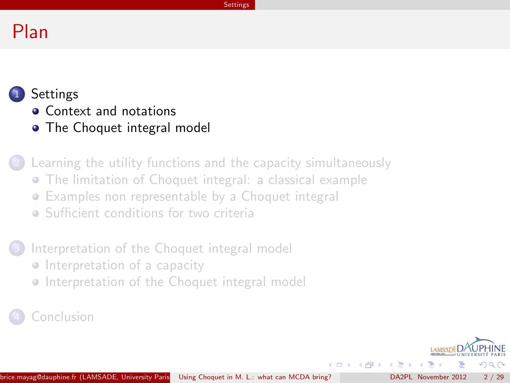#### **Settings**

# Plan

# **[Settings](#page-1-0)**

- **[Context and notations](#page-2-0)**
- [The Choquet integral model](#page-8-0)

[Learning the utility functions and the capacity simultaneously](#page-10-0) [The limitation of Choquet integral: a classical example](#page-11-0)

- [Examples non representable by a Choquet integral](#page-17-0)
- **•** [Sufficient conditions for two criteria](#page-22-0)

# [Interpretation of the Choquet integral model](#page-23-0)

- **•** [Interpretation of a capacity](#page-24-0)
- [Interpretation of the Choquet integral model](#page-26-0)

# **[Conclusion](#page-27-0)**

<span id="page-1-0"></span> $\left\{ \left\vert \left\langle \left\langle \left\langle \mathbf{q} \right\rangle \right\rangle \right\rangle \right\vert \left\langle \mathbf{q} \right\rangle \right\vert \left\langle \mathbf{q} \right\rangle \right\vert \left\langle \mathbf{q} \right\rangle \right\vert \left\langle \mathbf{q} \right\rangle \left\langle \mathbf{q} \right\rangle \right\vert$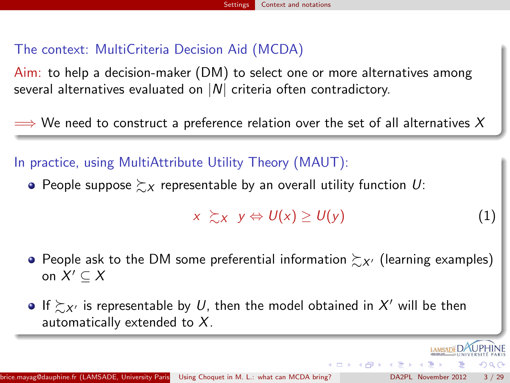# The context: MultiCriteria Decision Aid (MCDA)

Aim: to help a decision-maker (DM) to select one or more alternatives among several alternatives evaluated on  $|N|$  criteria often contradictory.

 $\implies$  We need to construct a preference relation over the set of all alternatives X

# In practice, using MultiAttribute Utility Theory (MAUT):

• People suppose  $\succsim_{X}$  representable by an overall utility function U:

$$
x \gtrsim_X y \Leftrightarrow U(x) \geq U(y) \tag{1}
$$

<span id="page-2-0"></span>**K Q X K A P X 4 3 X 4** 

- People ask to the DM some preferential information  $\succeq_{X'}$  (learning examples) on  $X' \subseteq X$
- If  $\succsim_{X'}$  is representable by  $U$ , then the model obtained in  $X'$  will be then automatically extended to  $X$ .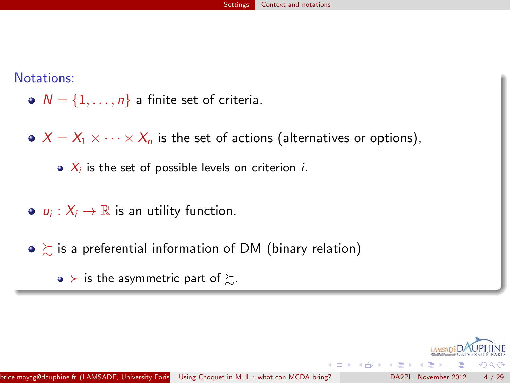Notations:

- $N = \{1, \ldots, n\}$  a finite set of criteria.
- $\bullet$   $X = X_1 \times \cdots \times X_n$  is the set of actions (alternatives or options),
	- $\bullet$   $X_i$  is the set of possible levels on criterion *i*.
- $u_i: X_i \to \mathbb{R}$  is an utility function.
- $\bullet \succeq$  is a preferential information of DM (binary relation)
	- $\bullet$  ≻ is the asymmetric part of  $\succeq$ .

4 D F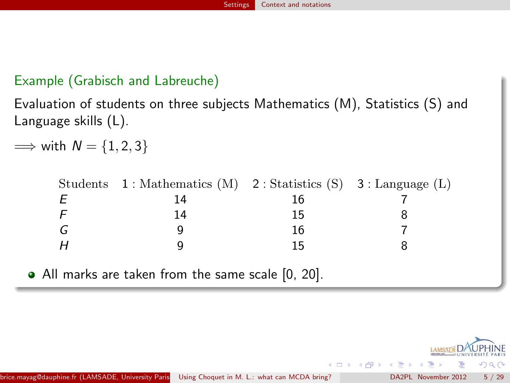# Example (Grabisch and Labreuche)

Evaluation of students on three subjects Mathematics (M), Statistics (S) and Language skills (L).

 $\implies$  with  $N = \{1, 2, 3\}$ 

|   | Students $1:$ Mathematics (M) $2:$ Statistics (S) $3:$ Language (L) |    |  |
|---|---------------------------------------------------------------------|----|--|
|   | 14                                                                  |    |  |
|   | 14                                                                  | 15 |  |
| G |                                                                     | 16 |  |
|   |                                                                     |    |  |

All marks are taken from the same scale [0, 20].

4 D F

 $\left\{ \left\{ \left\{ \left\{ \left\{ i\right\} \right\} \right\} \right\} \in\mathbb{R} \right\}$ 

 $\sim$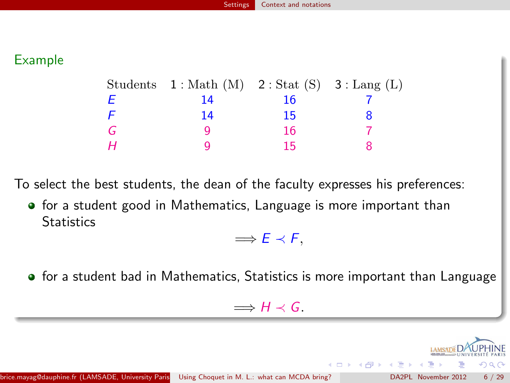#### Example

|   | Students $1: \text{Math}(M)$ $2: \text{Stat}(S)$ $3: \text{Lang}(L)$ |    |  |
|---|----------------------------------------------------------------------|----|--|
| F | 14                                                                   | 16 |  |
|   | 14                                                                   | 15 |  |
| G |                                                                      | 16 |  |
| Н |                                                                      | 15 |  |

To select the best students, the dean of the faculty expresses his preferences:

**•** for a student good in Mathematics, Language is more important than **Statistics** 

 $\Rightarrow$   $E \prec F$ ,

**•** for a student bad in Mathematics, Statistics is more important than Language

 $\implies H \prec G$ .

**K 母 ト マ ヨ**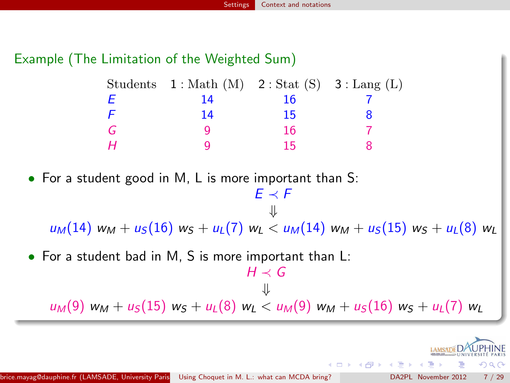# Example (The Limitation of the Weighted Sum)

| Students                                                                                                                                                                       | $1: \text{Math}(\text{M})$ |    | $2:$ Stat $(S)$ 3 : Lang $(L)$ |  |
|--------------------------------------------------------------------------------------------------------------------------------------------------------------------------------|----------------------------|----|--------------------------------|--|
| Ε                                                                                                                                                                              | 14                         | 16 |                                |  |
| F                                                                                                                                                                              | 14                         | 15 | 8                              |  |
| G                                                                                                                                                                              | 9                          | 16 |                                |  |
| Н                                                                                                                                                                              | 9                          | 15 | 8                              |  |
| $\bullet$ For a student good in M, L is more important than S:<br>$F \prec F$<br>$u_M(14)$ $w_M + u_S(16)$ $w_S + u_L(7)$ $w_L < u_M(14)$ $w_M + u_S(15)$ $w_S + u_L(8)$ $w_L$ |                            |    |                                |  |
| $\bullet$ For a student bad in M, S is more important than L:                                                                                                                  |                            |    |                                |  |
| $H \prec G$                                                                                                                                                                    |                            |    |                                |  |
| ⇓                                                                                                                                                                              |                            |    |                                |  |
| $u_M(9)$ $w_M + u_S(15)$ $w_S + u_L(8)$ $w_L < u_M(9)$ $w_M + u_S(16)$ $w_S + u_L(7)$ $w_L$                                                                                    |                            |    |                                |  |

つへへ

**LAMSAD** 

メロト メ御 トメ ミト メミト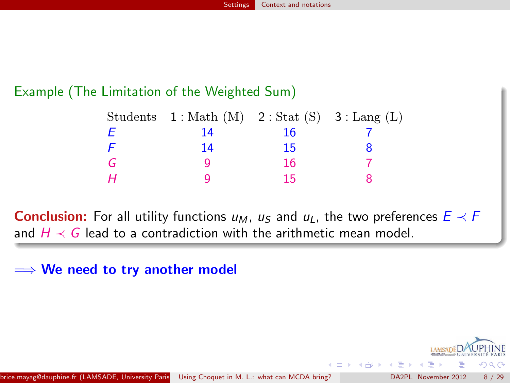### Example (The Limitation of the Weighted Sum)

|   | Students $1: \text{Math}(M)$ $2: \text{Stat}(S)$ $3: \text{Lang}(L)$ |    |  |
|---|----------------------------------------------------------------------|----|--|
| Ε | 14                                                                   | 16 |  |
| F | 14                                                                   | 15 |  |
| G |                                                                      | 16 |  |
| Н |                                                                      | 15 |  |

**Conclusion:** For all utility functions  $u_M$ ,  $u_S$  and  $u_L$ , the two preferences  $E \prec F$ and  $H \prec G$  lead to a contradiction with the arithmetic mean model.

 $\implies$  We need to try another model

4 D F

 $\mathcal{A} \leftarrow \mathcal{A} \leftarrow \mathcal{A} \leftarrow \mathcal{A}$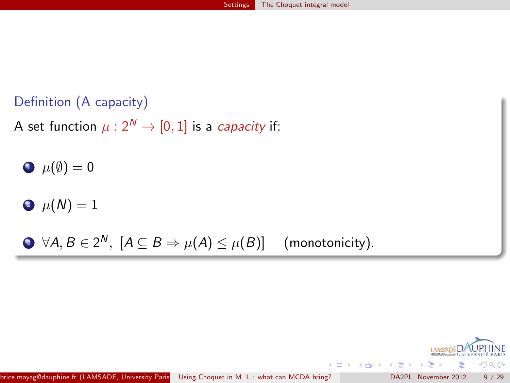# Definition (A capacity)

A set function  $\mu$  :  $2^N \rightarrow [0, 1]$  is a *capacity* if:

 $\bullet \ \mu(\emptyset) = 0$ 

 $\bullet \ \mu(N) = 1$ 

 $\bullet$  ∀A,  $B\in 2^{\textsf{N}},\;$   $[A\subseteq B\Rightarrow \mu(A)\leq \mu(B)]$   $\quad$  (monotonicity).

<span id="page-8-0"></span>

**K ロ ト K 何 ト K ヨ ト K**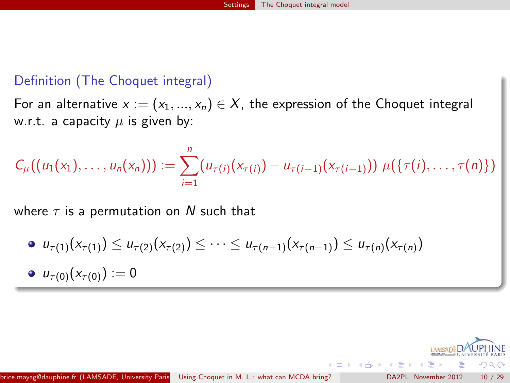#### Definition (The Choquet integral)

For an alternative  $x := (x_1, ..., x_n) \in X$ , the expression of the Choquet integral w.r.t. a capacity  $\mu$  is given by:

$$
C_{\mu}((u_1(x_1),\ldots,u_n(x_n))) := \sum_{i=1}^n (u_{\tau(i)}(x_{\tau(i)})-u_{\tau(i-1)}(x_{\tau(i-1)})) \mu(\{\tau(i),\ldots,\tau(n)\})
$$

where  $\tau$  is a permutation on N such that

\n- \n
$$
u_{\tau(1)}(x_{\tau(1)}) \leq u_{\tau(2)}(x_{\tau(2)}) \leq \cdots \leq u_{\tau(n-1)}(x_{\tau(n-1)}) \leq u_{\tau(n)}(x_{\tau(n)})
$$
\n
\n- \n
$$
u_{\tau(0)}(x_{\tau(0)}) := 0
$$
\n
\n



4 桐 8 14 円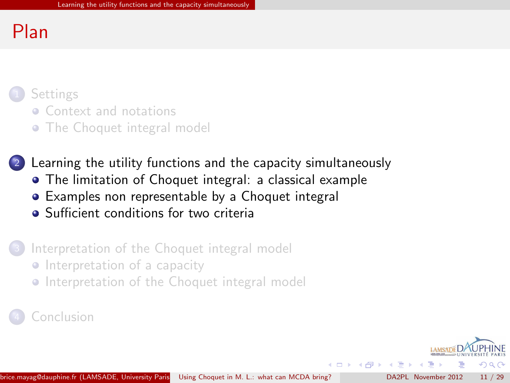# Plan

# **[Settings](#page-1-0)**

- **[Context and notations](#page-2-0)**
- [The Choquet integral model](#page-8-0)

# 2 [Learning the utility functions and the capacity simultaneously](#page-10-0)

- [The limitation of Choquet integral: a classical example](#page-11-0)
- [Examples non representable by a Choquet integral](#page-17-0)
- **•** [Sufficient conditions for two criteria](#page-22-0)

### [Interpretation of the Choquet integral model](#page-23-0)

- **•** [Interpretation of a capacity](#page-24-0)
- [Interpretation of the Choquet integral model](#page-26-0)

# **[Conclusion](#page-27-0)**

<span id="page-10-0"></span>**同下 4 三下 4**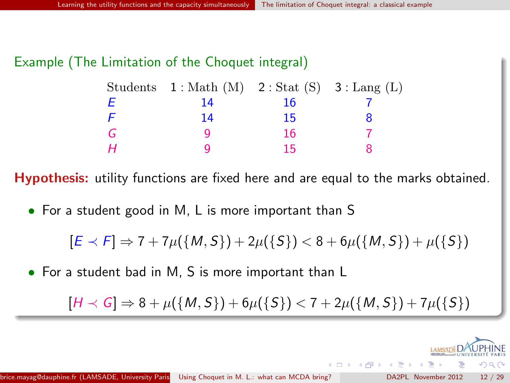#### Example (The Limitation of the Choquet integral)

|   | Students $1: \text{Math}(M)$ $2: \text{Stat}(S)$ $3: \text{Lang}(L)$ |    |  |
|---|----------------------------------------------------------------------|----|--|
| Е | 14                                                                   | 16 |  |
| F | 14                                                                   | 15 |  |
| G |                                                                      | 16 |  |
| Н |                                                                      | 15 |  |

Hypothesis: utility functions are fixed here and are equal to the marks obtained.

• For a student good in M, L is more important than S

$$
[E \prec F] \Rightarrow 7 + 7\mu({M, S}) + 2\mu({S}) < 8 + 6\mu({M, S}) + \mu({S})
$$

• For a student bad in M, S is more important than L

<span id="page-11-0"></span> $[H \prec G] \Rightarrow 8 + \mu({M, S}) + 6\mu({S}) < 7 + 2\mu({M, S}) + 7\mu({S})$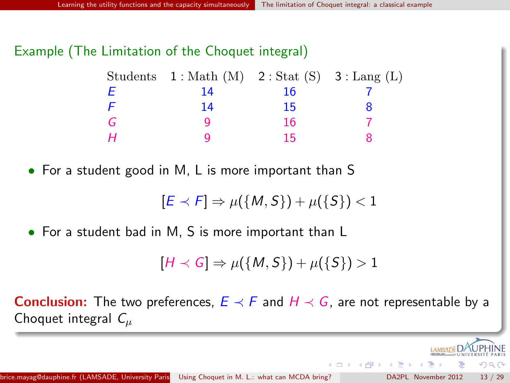### Example (The Limitation of the Choquet integral)

|   | Students $1: \text{Math}(M)$ $2: \text{Stat}(S)$ $3: \text{Lang}(L)$ |    |  |
|---|----------------------------------------------------------------------|----|--|
| Е | 14                                                                   | 16 |  |
| F | 14                                                                   | 15 |  |
| G |                                                                      | 16 |  |
| Н |                                                                      | 15 |  |

• For a student good in M, L is more important than S

$$
[E \prec F] \Rightarrow \mu({M, S}) + \mu({S}) < 1
$$

• For a student bad in M, S is more important than L

$$
[H \prec G] \Rightarrow \mu(\{M, S\}) + \mu(\{S\}) > 1
$$

**Conclusion:** The two preferences,  $E \prec F$  and  $H \prec G$ , are not representable by a Choquet integral  $C_u$ 

 $\left\{ \left\{ \left. \left| \left. \left| \left. \left| \left. \left| \right. \right| \right| \right| \right| \right\} \right| \right\} \left\{ \left. \left| \left. \left| \left. \right| \right| \right| \right\} \right\} \right\}$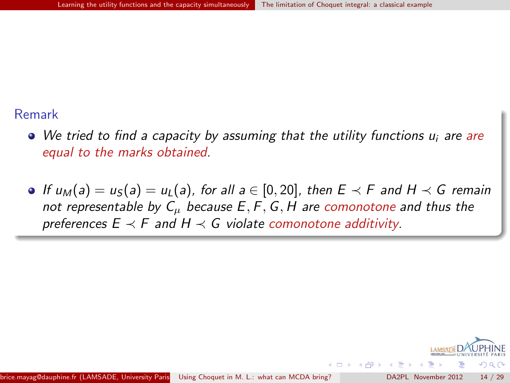#### Remark

- We tried to find a capacity by assuming that the utility functions u<sub>i</sub> are are equal to the marks obtained.
- If  $u_M(a) = u_S(a) = u_L(a)$ , for all  $a \in [0, 20]$ , then  $E \prec F$  and  $H \prec G$  remain not representable by  $C_{\mu}$  because  $E, F, G, H$  are comonotone and thus the preferences  $E \prec F$  and  $H \prec G$  violate comonotone additivity.

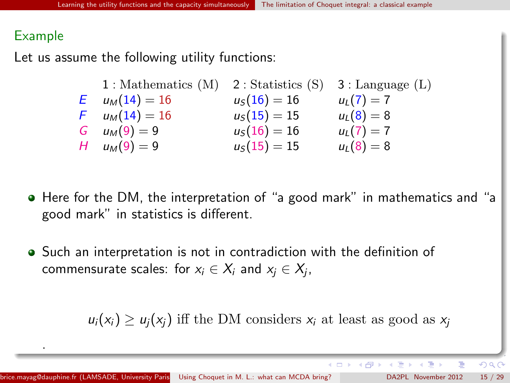#### Example

.

Let us assume the following utility functions:

1 : Mathematics (M) 2 : Statistics (S) 3 : Language (L) E  $u_M(14) = 16$   $u_S(16) = 16$   $u_L(7) = 7$ <br>
F  $u_M(14) = 16$   $u_S(15) = 15$   $u_L(8) = 8$  $u_S(15) = 15$   $u_L(8) = 8$ G  $u_M(9) = 9$   $u_S(16) = 16$   $u_L(7) = 7$ H  $u_M(9) = 9$   $u_S(15) = 15$   $u_L(8) = 8$ 

- Here for the DM, the interpretation of "a good mark" in mathematics and "a good mark" in statistics is different.
- Such an interpretation is not in contradiction with the definition of commensurate scales: for  $x_i \in X_i$  and  $x_j \in X_j$ ,

 $u_i(x_i) \ge u_i(x_i)$  iff the DM considers  $x_i$  at least as good as  $x_i$ 

 $QQ$ 

メロト メ御 トメ ミト メミト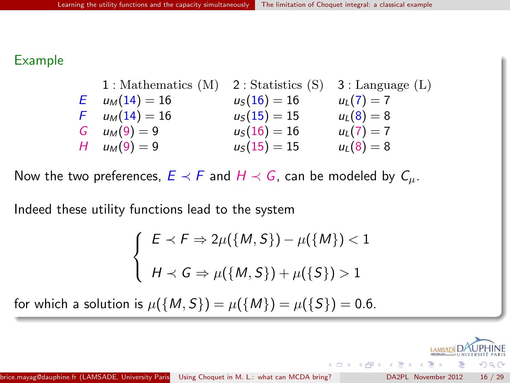#### Example

1 : Mathematics (M) 2 : Statistics (S) 3 : Language (L) E  $u_M(14) = 16$   $u_S(16) = 16$   $u_L(7) = 7$ F  $u_M(14) = 16$   $u_S(15) = 15$   $u_L(8) = 8$ G  $u_M(9) = 9$   $u_S(16) = 16$   $u_L(7) = 7$ H  $u_M(9) = 9$   $u_S(15) = 15$   $u_L(8) = 8$ 

Now the two preferences,  $E \prec F$  and  $H \prec G$ , can be modeled by  $C_{\mu}$ .

Indeed these utility functions lead to the system

$$
\begin{cases}\nE \prec F \Rightarrow 2\mu(\{M, S\}) - \mu(\{M\}) < 1 \\
H \prec G \Rightarrow \mu(\{M, S\}) + \mu(\{S\}) > 1\n\end{cases}
$$

for which a solution is  $\mu({M, S}) = \mu({M}) = \mu({S}) = 0.6$ .

 $\Omega$ 

イロメ イ押メ イヨメ イヨ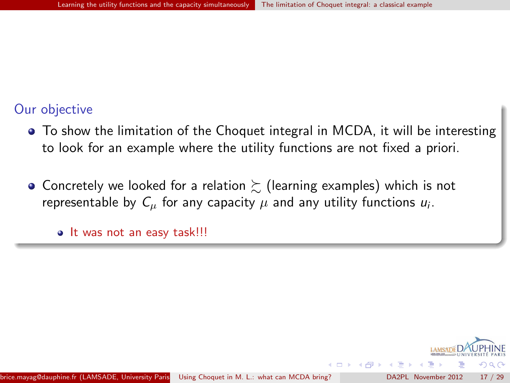### Our objective

- To show the limitation of the Choquet integral in MCDA, it will be interesting to look for an example where the utility functions are not fixed a priori.
- Concretely we looked for a relation  $\succsim$  (learning examples) which is not representable by  $C_\mu$  for any capacity  $\mu$  and any utility functions  $u_i$ .

• It was not an easy task!!!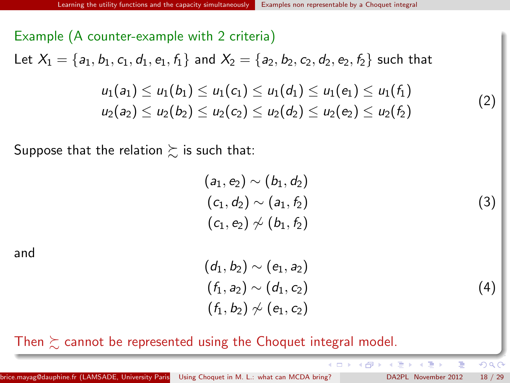# Example (A counter-example with 2 criteria) Let  $X_1 = \{a_1, b_1, c_1, d_1, e_1, f_1\}$  and  $X_2 = \{a_2, b_2, c_2, d_2, e_2, f_2\}$  such that  $u_1(a_1) < u_1(b_1) < u_1(c_1) < u_1(d_1) < u_1(e_1) < u_1(f_1)$  $u_2(a_2) \leq u_2(b_2) \leq u_2(c_2) \leq u_2(d_2) \leq u_2(e_2) \leq u_2(f_2)$

Suppose that the relation  $\succsim$  is such that:

<span id="page-17-1"></span>
$$
\begin{aligned} &(a_1,e_2)\sim(b_1,d_2)\\ &(c_1,d_2)\sim(a_1,f_2)\\ &(c_1,e_2)\not\sim(b_1,f_2)\end{aligned}
$$

and

<span id="page-17-2"></span> $(d_1, b_2) \sim (e_1, a_2)$  $(f_1, a_2) \sim (d_1, c_2)$  $(f_1, b_2) \nsim (e_1, c_2)$ 

(4)

<span id="page-17-0"></span> $QQ$ 

(3)

(2)

Then  $\succeq$  cannot be represented using the Choquet integral model.

ト イ御 ト イヨ ト イヨ)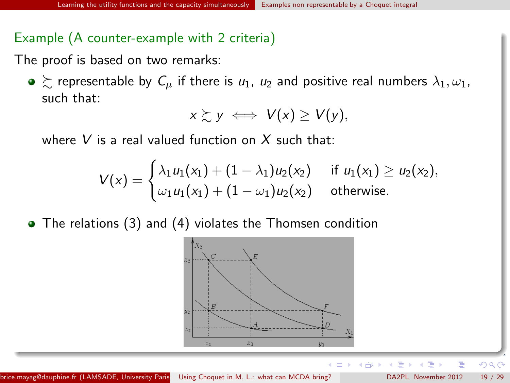### Example (A counter-example with 2 criteria)

The proof is based on two remarks:

 $\bullet \succcurlyeq$  representable by  $C_u$  if there is  $u_1$ ,  $u_2$  and positive real numbers  $\lambda_1, \omega_1$ , such that:

$$
x \succsim y \iff V(x) \geq V(y),
$$

where V is a real valued function on X such that:

$$
V(x) = \begin{cases} \lambda_1 u_1(x_1) + (1 - \lambda_1) u_2(x_2) & \text{if } u_1(x_1) \ge u_2(x_2), \\ \omega_1 u_1(x_1) + (1 - \omega_1) u_2(x_2) & \text{otherwise.} \end{cases}
$$

The relations [\(3\)](#page-17-1) and [\(4\)](#page-17-2) violates the Thomsen condition



4 D F

 $\Omega$ 

→ 伊 ▶ → 君 ▶ → 君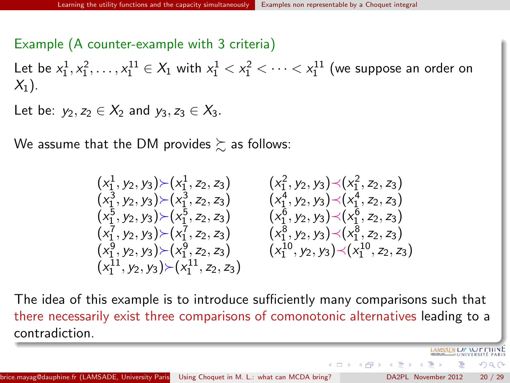#### Example (A counter-example with 3 criteria)

Let be  $x_1^1, x_1^2, \ldots, x_1^{11} \in X_1$  with  $x_1^1 < x_1^2 < \cdots < x_1^{11}$  (we suppose an order on  $X_1$ ).

Let be:  $y_2, z_2 \in X_2$  and  $y_3, z_3 \in X_3$ .

We assume that the DM provides  $\succeq$  as follows:

$$
\begin{array}{llll} (x_1^1, y_2, y_3) \succ (x_1^1, z_2, z_3) & (x_1^2, y_2, y_3) \prec (x_1^2, z_2, z_3) \\ (x_1^3, y_2, y_3) \succ (x_1^3, z_2, z_3) & (x_1^4, y_2, y_3) \prec (x_1^4, z_2, z_3) \\ (x_1^5, y_2, y_3) \succ (x_1^5, z_2, z_3) & (x_1^6, y_2, y_3) \prec (x_1^6, z_2, z_3) \\ (x_1^7, y_2, y_3) \succ (x_1^7, z_2, z_3) & (x_1^8, y_2, y_3) \prec (x_1^8, z_2, z_3) \\ (x_1^9, y_2, y_3) \succ (x_1^9, z_2, z_3) & (x_1^{10}, y_2, y_3) \prec (x_1^{10}, z_2, z_3) \\ (x_1^{11}, y_2, y_3) \succ (x_1^{11}, z_2, z_3) & (x_1^{10}, y_2, y_3) \prec (x_1^{10}, z_2, z_3) \end{array}
$$

The idea of this example is to introduce sufficiently many comparisons such that there necessarily exist three comparisons of comonotonic alternatives leading to a contradiction.

brice.mayag@dauphine.fr (LAMSADE, University Paris [Using Choquet in M. L.: what can MCDA bring?](#page-0-0) **hine, France, France, France, France, France**, France, France, Theorember 2012 20 / 29

 $\mathcal{A}$  and  $\mathcal{A}$  in  $\mathcal{A}$  . The  $\mathcal{A}$ 

AMSADELIZ ACT LITTY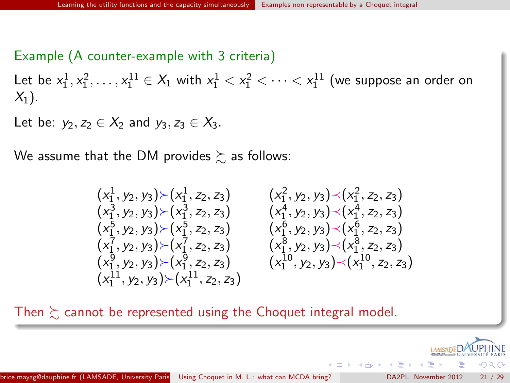#### Example (A counter-example with 3 criteria)

Let be  $x_1^1, x_1^2, \ldots, x_1^{11} \in X_1$  with  $x_1^1 < x_1^2 < \cdots < x_1^{11}$  (we suppose an order on  $X_1$ ).

Let be:  $y_2, z_2 \in X_2$  and  $y_3, z_3 \in X_3$ .

We assume that the DM provides  $\succeq$  as follows:

$$
(x_1^1, y_2, y_3) \times (x_1^1, z_2, z_3) \qquad (x_1^2, y_2, y_3) \times (x_1^2, z_2, z_3) \n(x_1^3, y_2, y_3) \times (x_1^3, z_2, z_3) \qquad (x_1^4, y_2, y_3) \times (x_1^4, z_2, z_3) \n(x_1^5, y_2, y_3) \times (x_1^5, z_2, z_3) \qquad (x_1^6, y_2, y_3) \times (x_1^6, z_2, z_3) \n(x_1^7, y_2, y_3) \times (x_1^7, z_2, z_3) \qquad (x_1^8, y_2, y_3) \times (x_1^8, z_2, z_3) \n(x_1^{11}, y_2, y_3) \times (x_1^{11}, z_2, z_3) \qquad (x_1^{10}, y_2, y_3) \times (x_1^{10}, z_2, z_3)
$$

Then  $\succeq$  cannot be represented using the Choquet integral model.



**K 何 ト K 日**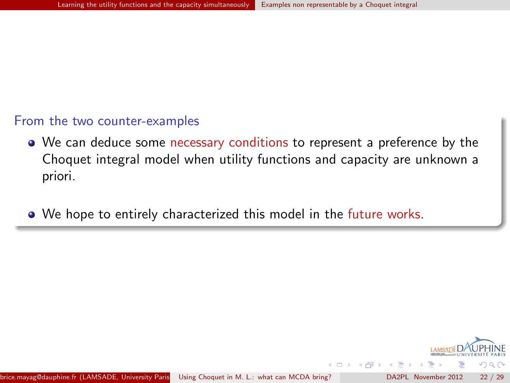#### From the two counter-examples

- We can deduce some necessary conditions to represent a preference by the Choquet integral model when utility functions and capacity are unknown a priori.
- We hope to entirely characterized this model in the future works.

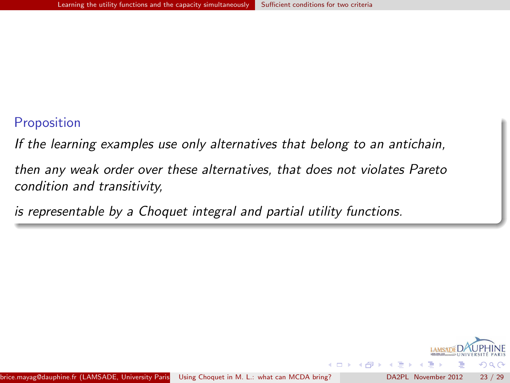#### Proposition

If the learning examples use only alternatives that belong to an antichain,

then any weak order over these alternatives, that does not violates Pareto condition and transitivity,

is representable by a Choquet integral and partial utility functions.

<span id="page-22-0"></span>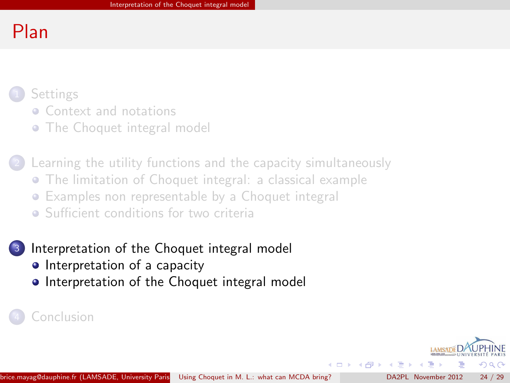# Plan

# **[Settings](#page-1-0)**

- **[Context and notations](#page-2-0)**
- [The Choquet integral model](#page-8-0)

[Learning the utility functions and the capacity simultaneously](#page-10-0)

- [The limitation of Choquet integral: a classical example](#page-11-0)
- [Examples non representable by a Choquet integral](#page-17-0)
- **•** [Sufficient conditions for two criteria](#page-22-0)

# [Interpretation of the Choquet integral model](#page-23-0)

- [Interpretation of a capacity](#page-24-0)
- [Interpretation of the Choquet integral model](#page-26-0)

**[Conclusion](#page-27-0)** 

<span id="page-23-0"></span> $\left\{ \left\vert \left\langle \left\langle \left\langle \mathbf{q} \right\rangle \right\rangle \right\rangle \right\vert \left\langle \mathbf{q} \right\rangle \right\vert \left\langle \mathbf{q} \right\rangle \right\vert \left\langle \mathbf{q} \right\rangle \right\vert \left\langle \mathbf{q} \right\rangle \left\langle \mathbf{q} \right\rangle \right\vert$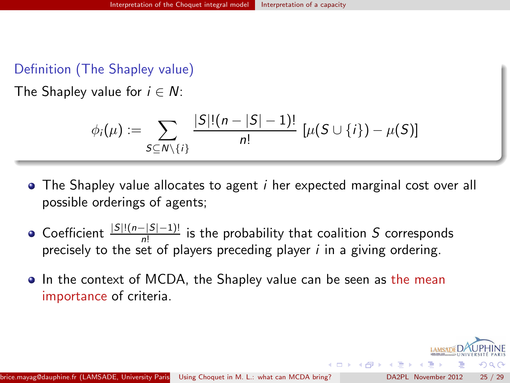### Definition (The Shapley value)

The Shapley value for  $i \in N$ :

$$
\phi_i(\mu) := \sum_{S \subseteq N \setminus \{i\}} \frac{|S|!(n-|S|-1)!}{n!} [\mu(S \cup \{i\}) - \mu(S)]
$$

- $\bullet$  The Shapley value allocates to agent *i* her expected marginal cost over all possible orderings of agents;
- Coefficient  $\frac{|S|!(n-|S|-1)!}{n!}$  is the probability that coalition S corresponds precisely to the set of players preceding player  $i$  in a giving ordering.
- In the context of MCDA, the Shapley value can be seen as the mean importance of criteria.

<span id="page-24-0"></span> $\left\{ \left\{ \bigcap \mathbb{P} \left| \mathbb{P} \right| \leq \left\{ \bigcap \mathbb{P} \left| \mathbb{P} \right| \right\} \right\} \right\}$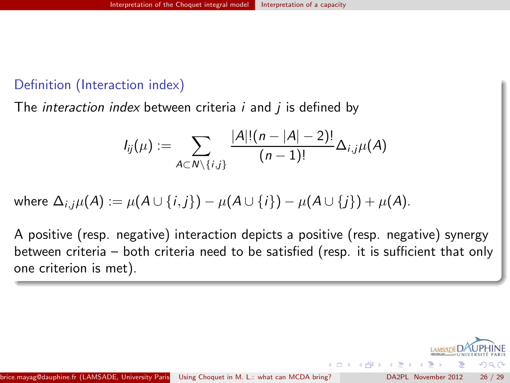# Definition (Interaction index)

The *interaction index* between criteria  $i$  and  $j$  is defined by

$$
I_{ij}(\mu):=\sum_{A\subset N\setminus\{i,j\}}\frac{|A|!(n-|A|-2)!}{(n-1)!}\Delta_{i,j}\mu(A)
$$

where 
$$
\Delta_{i,j}\mu(A) := \mu(A \cup \{i,j\}) - \mu(A \cup \{i\}) - \mu(A \cup \{j\}) + \mu(A)
$$
.

A positive (resp. negative) interaction depicts a positive (resp. negative) synergy between criteria – both criteria need to be satisfied (resp. it is sufficient that only one criterion is met).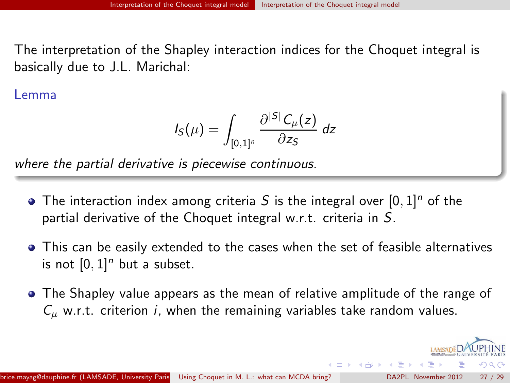The interpretation of the Shapley interaction indices for the Choquet integral is basically due to J.L. Marichal:

Lemma

$$
I_S(\mu) = \int_{[0,1]^n} \frac{\partial^{|S|} C_{\mu}(z)}{\partial z_S} dz
$$

where the partial derivative is piecewise continuous.

- The interaction index among criteria S is the integral over  $[0, 1]^n$  of the partial derivative of the Choquet integral w.r.t. criteria in S.
- This can be easily extended to the cases when the set of feasible alternatives is not  $[0, 1]^n$  but a subset.
- The Shapley value appears as the mean of relative amplitude of the range of  $C_{\mu}$  w.r.t. criterion *i*, when the remaining variables take random values.

<span id="page-26-0"></span> $\rightarrow$   $\overline{m}$   $\rightarrow$   $\rightarrow$   $\overline{m}$   $\rightarrow$   $\rightarrow$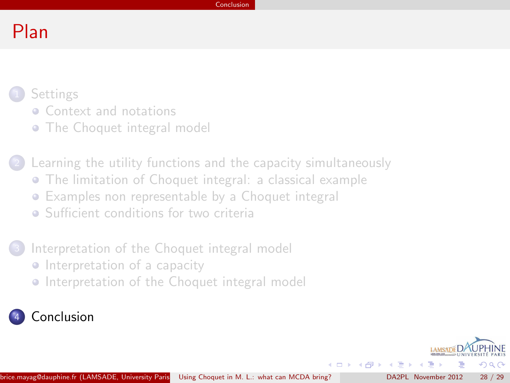# Plan

# **[Settings](#page-1-0)**

- **[Context and notations](#page-2-0)**
- [The Choquet integral model](#page-8-0)
- [Learning the utility functions and the capacity simultaneously](#page-10-0) [The limitation of Choquet integral: a classical example](#page-11-0) [Examples non representable by a Choquet integral](#page-17-0)
	- **•** [Sufficient conditions for two criteria](#page-22-0)

# [Interpretation of the Choquet integral model](#page-23-0)

- **•** [Interpretation of a capacity](#page-24-0)
- [Interpretation of the Choquet integral model](#page-26-0)

# **[Conclusion](#page-27-0)**

<span id="page-27-0"></span> $\langle \langle \langle \langle \langle \rangle \rangle \rangle \rangle$  and  $\langle \langle \rangle \rangle$  and  $\langle \rangle$ 

4 D F